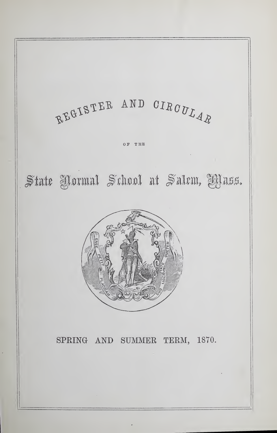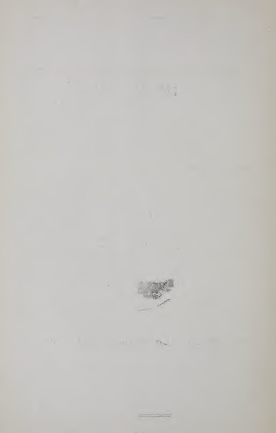

 $\label{eq:1.1} \Omega_{\rm T} = -1, \qquad \Omega_{\rm T} = -\Omega_{\rm T} = -\Omega_{\rm T} = -\Omega_{\rm T} = -\Omega_{\rm T} = 0.05$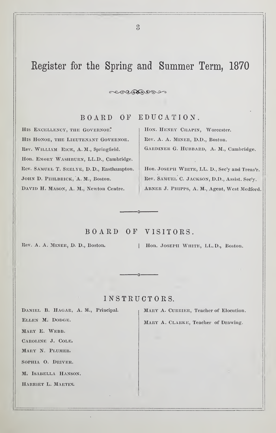# Register for the Spring and Summer Term, 1870

 $\sim$ 

BOARD OF EDUCATION.

HIS EXCELLENCY, THE GOVERNOR. HIS HONOR, THE LIEUTENANT GOVERNOR. Rev. William Rice, A.M., Springfield. Hon. EMORY WASHBURN, LL.D., Cambridge. Rev. Samuel T. Seelye, D.D., Easthampton, JOHN D. PHILBRICK, A. M., Boston. DAVID H. MASON, A. M., Newton Centre.

HON. HENRY CHAPIN, Worcester. Rev. A. A. Miner, D.D., Boston. Gardiner G. Hubbard, A. M., Cambridge.

Hon. JOSEPH WHITE, LL. D., Sec'y and Treas'r. Rev. Samuel C. Jackson, D.I)., Assist. Sec'y. Abner J. Phipps, a. M., Agent, West Medford.

## BOARD OF VISITORS.

Rev. A. A. MINER, D. D., Boston, | Hon. JOSEPH WHITE, LL.D., Boston.

## INSTRUCTORS.

 $\Omega$ 

Daniel B. Hagar, A. M., Principal. Ellen M. Dodge. Mary E. Webb.

Caroline J. Cole.

Mary N. Plumer.

Sophia O. Driver.

M. Isabella Hanson.

Harriet L. Martin.

Mary A. Currier, Teacher of Elocution. Mary A. Clarke, Teacher of Drawing.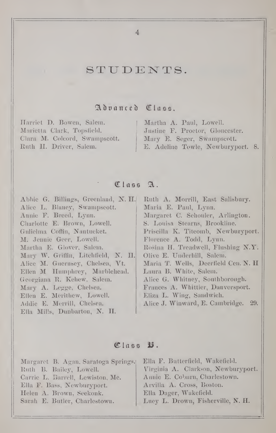# STUDENTS.

Advanced Class.

Harriet D. Bowen, Salem. Marietta Clark, Topsfield. Clara M. Colcord, Swampscott. Ruth II. Driver, Salem.

Martha A. Paul, Lowell. Justine F. Proetor, Gloucester. Mary E. Seger, Swampscott. E. Adeline Towle, Newburyport. 8.

## $0.1955$  A.

Abbie G. Billings, Greenland, N.H. Ruth A. Morrill, East Salisbury. Alice L. Blaney, Swampscott. Maria E. Paul, Lynn. Annie F. Breed. Lynn. Margaret C. Schouler, Arlington. Charlotte E. Brown, Lowell. S. Louisa Stearns, Brookline. Gnlielma Coffin, Nantucket. Priscilla K. Titcomb, Newburyport. M. Jennie Geer, Lowell. Florence A. Todd, Lynn. Martha E. Glover, Salem. Rosina H. Treadwell, Flushing N.Y. Mary W. Griffin, Litchfield, N. II. Olive E. Underhill, Salem. Alice M. Guernsey, Chelsea, Vt. Maria T. Wells, Deerfield Cen. N. H Ellen M Humphrey, Marblehead. Laura B. White, Salem. Georgiana R. Kehew. Salem. Alice G. Whitney, Southborough. Mary A. Legge, Chelsea. Frances A. Whittier, Danversport. Ellen E. Merithew, Lowell. Eliza L. Wing, Sandwich. Alice J. Winward, E. Cambridge. 29. Addie E. Merrill, Chelsea. Ella Mills, Dunbarton, N. H.

## Class B.

| Margaret B. Agan, Saratoga Springs. | Ella F. Butterfield, Wakefield.    |
|-------------------------------------|------------------------------------|
| Ruth B. Bailey, Lowell.             | Virginia A. Clarkson, Newburyport. |
| Carrie L. Barrell, Lewiston, Me.    | Annie E. Coburn, Charlestown.      |
| Ella F. Bass, Newburyport.          | Arvilla A. Cross, Boston.          |
| Helen A. Brown, Seekonk.            | Ella Dager, Wakefield.             |
| Sarah E. Butler, Charlestown.       | Luey L. Drown, Fisherville, N. H.  |

 $\overline{4}$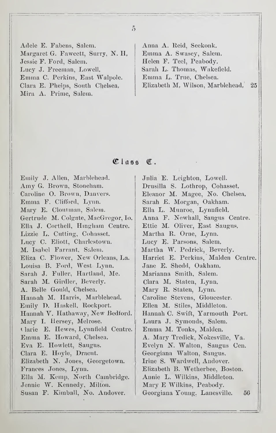Adele E. Fabens, Salem. Margaret G. Fawcett, Surry, N. H. Jessie F. Ford, Salem. Lucy J. Freeman, Lowell. Emma C. Perkins, East Walpole. Clara E. Pheips, South Chelsea, Mira A. Prime, Salem.

Anna A. Reid, Seekonk. Emma A. Swasey, Salem. Helen F. Tecl, Peabody. Sarah L. Thomas, Wakefield. Emma L. True, Chelsea. Elizabeth M. Wilson, Marblehead.  $25$ 

## Class C.

Emily J. Allen, Marblehead. Amy G. Brown, Stoneham. Caroline O. Brown, Danvers. Emma F. Clifford, Lynn. Mary E. Cloutman, Salem. Gertrude M. Colgate, MacGregor, Io. Ella J. Corthell, Hingham Centre. Lizzie L. Cutting, Cohasset. Lucy C. Eliott, Charlestown. M. Isabel Farrant, Salem. Eliza C. Flower, New Orleans, La. Louisa B. Ford, West Lynn. Sarah J. Fuller, Hartland, Me. Sarah M. Girdler, Beverly. A. Belle Gould, Chelsea. Hannah M. Harris, Marblehead. Emily D. Haskell, Rockport. Hannah V. Hathaway, New Bedford. Mary I. Hersey, Melrose. Clarie E. Hewes, Lynnfield Centre. Emma E. Howard, Chelsea. Eva E. Howlett, Saugus. Clara E. Hoyle, Dracut. Elizabeth N. Jones, Georgetown. Frances Jones, Lynn. Ella M. Kemp, North Cambridge. Jennie W. Kennedy, Milton. Susan F. Kimball, No. Andover.

Julia E. Leighton, Lowell. Drusilla S. Lothrop, Cohasset. Eleanor M. Magee, No. Chelsea, Sarah E. Morgan, Oakham. Ella L. Munroe, Lynnfield, Anna F. Newhall, Saugus Centre. Ettie M. Oliver, East Saugus, Martha R. Orne, Lynn. Lucy E. Parsons, Salem. Martha W. Pedrick, Beverly. Harriet E. Perkins, Malden Centre. Jane E. Shedd, Oakham. Marianna Smith, Salem. Clara M. Staten, Lynn. Mary R. Staten, Lynn. Caroline Stevens, Gloucester. Ellen M. Stiles, Middleton. Hannah C. Swift, Yarmouth Port. Laura J. Symonds, Salem. Emma M. Tonks, Malden. A. Mary Tredick, Nokesville, Va. Evelyn N. Walton, Saugus Cen. Georgiana Walton, Saugus. Irine S. Wardwell, Andover. Elizabeth B. Wetherbee, Boston. Annie L. Wilkins, Middleton. Mary E Wilkins, Peabody. Georgiana Young. Lanesville. 56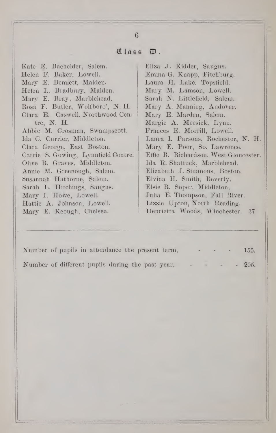# Class D.

| Kate E. Bachelder, Salem.<br>Helen F. Baker, Lowell. | Eliza J. Kidder, Saugus.<br>Emma G. Knapp, Fitchburg. |
|------------------------------------------------------|-------------------------------------------------------|
| Mary E. Bennett, Malden.                             | Laura H. Lake, Topsfield.                             |
| Helen L. Bradbury, Malden.                           | Mary M. Lamson, Lowell.                               |
| Mary E. Bray, Marblehead.                            | Sarah N. Littlefield, Salem.                          |
| Rosa F. Butler, Wolfboro', N. H.                     | Mary A. Manning, Andover.                             |
| Clara E. Caswell, Northwood Cen-                     | Mary E. Marden, Salem.                                |
| tre, $N.$ H.                                         | Margie A. Meesick, Lynn.                              |
| Abbie M. Crosman, Swampscott.                        | Frances E. Morrill, Lowell.                           |
| Ida C. Currier, Middleton.                           | Laura I. Parsons, Rochester, N. H.                    |
| Clara George, East Boston.                           | Mary E. Poor, So. Lawrence.                           |
| Carrie S. Gowing, Lynnfield Centre.                  | Effie B. Richardson, West Gloucester.                 |
| Olive R. Graves, Middleton.                          | Ida R. Shattuck, Marblehead.                          |
| Annie M. Greenough, Salem.                           | Elizabeth J. Simmons, Boston.                         |
| Susannah Hathorne, Salem.                            | Elvina H. Smith, Beverly.                             |
| Sarah L. Hitchings, Saugus.                          | Elsie R. Soper, Middleton.                            |
| Mary I. Howe, Lowell.                                | Julia E. Thompson, Fall River.                        |
| Hattie A. Johnson, Lowell.                           | Lizzie Upton, North Reading.                          |
| Mary E. Keough, Chelsea.                             | Henrietta Woods, Winchester. 37                       |
|                                                      |                                                       |

| Number of pupils in attendance the present term, |            |  | $   155$ . |
|--------------------------------------------------|------------|--|------------|
| Number of different pupils during the past year, | $    205.$ |  |            |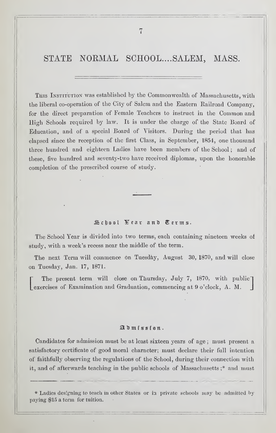THIS INSTITUTION was established by the Commonwealth of Massachusetts, with the liberal co-operation of the City of Salem and the Eastern Railroad Company, for the direct preparation of Female Teachers to instruct in the Common and High Schools required by law. It is under the charge of the State Board of Education, and of a special Board of Visitors. During the period that has elapsed since the reception of the first Class, in September, 1854, one thousand three hundred and eighteen Ladies have been members of the School ; and of these, five hundred and seventy-two have received diplomas, upon the honorable completion of the prescribed course of study.

#### $Schod Xear$  and  $Derms$ .

The School Year is divided into two terms, each containing nineteen weeks of study, with a week's recess near the middle of the term.

The next Term will commence on Tuesday, August 30, 1870, and will close on Tuesday, Jan. 17, 1871.

The present term will close on Thursday, July 7, 1870, with public  $\top$ exercises of Examination and Graduation, commencing at 9 o'clock, A. M.

#### $\mathfrak{A}$  d  $m$  is  $s$  i  $n$   $n$ .

Candidates for admission must be at least sixteen years of age ; must present a satisfactory certificate of good moral character; must declare their full intention of faithfully observing the regulations of the School, during their connection with it, and of afterwards teaching in the public schools of Massachusetts ;\* and must

\* Ladies designing to teach in other States or in private schools may be admitted by paying \$15 a term for tuition.

 $\overline{7}$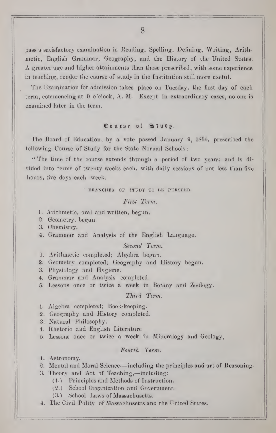pass a satisfactory examination in Reading, Spelling, Defining, Writing, Arithmetic, English Grammar, Geography, and the History of the United States. A greater age and higher attainments than those prescribed, with some experience in teaching, render the course of study in the Institution still more useful.

The Examination for admission takes place on Tuesday, the first day of each term, commencing at 9 o'clock, A. M. Except in extraordinary cases, no one is examined later in the term,

### Course of  $\mathbb{S}$ tudy.

The Board of Education, by a vote passed January 9, I860, prescribed the following Course of Study for the State Normal Schools :

" The time of the course extends through a period of two years; and is di vided into terms of twenty weeks each, with daily sessions of not less than five hours, five days each week.

BRANCHES OF STUDY TO BE PURSUED.

#### Fir&t Term.

- 1. Arithmetic, oral and written, begun.
- 2. Geometry, begun.
- 3. Chemistry.
- 4. Grammar and Analysis of the English Language.

#### Second Term.

- 1. Arithmetic completed; Algebra begun.
- 8. Geometry completed; Geography and History begun.
- 3. Physiology and Hygiene.
- 4. Grammar and Analysis completed,
- 5. Lessons once or twice a week in Botany and Zoology.

#### Third Term

- 1. Algebra completed; Book-keeping.
- 2. Geography and History completed.
- 3. Natural Philosophy.
- 4. Rhetoric and English Literature
- 5. Lessons once or twice a week in Mineralogy and Geology,

#### Fourth Term.

- 1. Astronomy.
- 2. Mental and Moral Science. —including the principles and art of Reasoning.
- 3. Theory and Art of Teaching,—including:
	- ( 1 . ) Principles and Methods of Instruction.
	- (2.) School Organization and Government.
	- (3.) School Laws of Massachusetts.
- 4. The Civil Polity of Massachusetts and the United States.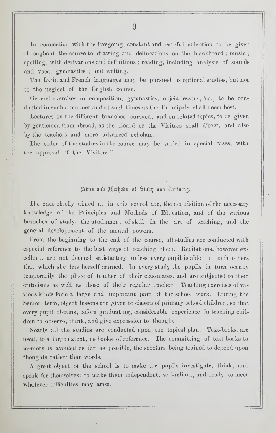In connection with the foregoing, constant and careful attention to be given throughout the course to drawing and delineations on the blackboard ; music ; spelling, with derivations and definitions ; reading, including analysis of sounds and vocal gymnastics ; and writing.

The Latin and French languages may be pursued as optional studies, but not to the neglect of the English coarse.

General exercises in composition, gymnastics, object lessons, &c., to be con ducted in such a manner and at such times as the Principals shall deem best.

Lectures on the different branches pursued, and on related topics, to be given by gentlemen from abroad, as the Board or the Visitors shall direct, and also by the teachers and more advanced scholars.

The order of the studies in the course may be varied in special cases, with the approval of the Visitors."

#### Zims and Wethods of Study and Training.

The ends chiefly aimed at in this school are, the acquisition of the necessary knowledge of the Principles and Methods of Education, and of the various branches of study, the attainment of skill in the art of teaching, and the general developement of the mental powers.

From the beginning to the end of the course, all studies are conducted with especial reference to the best ways of teaching the:n. Kecitations, however excellent, are not deemed satisfactory unless every pupil is able to teach others that which she has herself learned. In every study the pupils in turn occupy temporarily the place of teacher of their classmates, and are subjected to their criticisms as well as those of their regular teacher. Teaching exercises of various kinds form a large and important part of the school work. During the Senior term, object lessons are given to classes of primary school children, so that every pupil obtains, before graduating, considerable experience in teaching children to observe, think, and give expression to thought.

Nearly all the studies are conducted upon the topical plan. Text-books, are used, to a large extent, as books of reference. The committing of text-books to memory is avoided as far as possible, the scholars being trained to depend upon thoughts rather than words.

A great object of the school is to make the pupils investigate, think, and speak for themselves ; to make them independent, self-reliant, and ready to meet whatever difficulties may arise.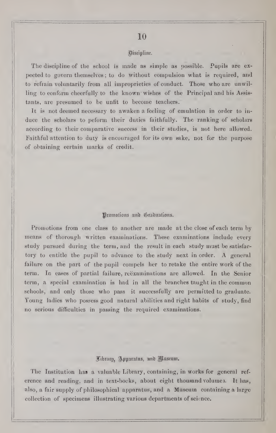#### ^istipUttt.

The discipline of the school is made as simple as possible. Pupils are ex pected to govern themselves ; to do without compulsion what is required, and to refrain voluntarily from all improprieties of conduct. Those who are unwilling to conform cheerfully to the known wishes of the Principal and his Assistants, are presumed to be unfit to become teachers.

It is not deemed necessary to awaken a feeling of emulation in order to in duce the scholars to peform their duties faithfully. The ranking of scholars according to their comparative success in their studies, is not here allowed. Faithful attention to duty is encouraged for its own sake, not for the purpose of obtaining certain marks of credit.

#### Promotions und Graduations.

Promotions from one class to another are made at the close of each term by means of thorough written examinations. These examinations include every study pursued during the term, and the result in each study must be satisfactory to entitle the pupil to advance to the study next in order. A general failure on the part of the pupil compels her to retake the entire work of the term. In cases of partial failure, reexaminations are allowed. In the Senior term, a special examination is had in all the branches taught in the common schools, and only those who pass it successfully are permitted to graduate. Young ladies who possess good natural abilities and right habits of study, find no serious difficulties in passing the required examinations.

### Librarn, Apparatus, and Illuseum.

The Institution has a valuable Library, containing, in works for general ref erence and reading, and in text-bocks, about eight thousand volumes. It has, also, a fair supply of philosophical apparatus, and a Museum containing a large collection of specimens illustrating various departments of science.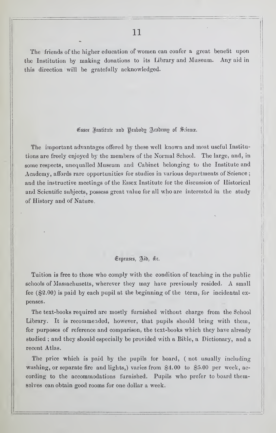The friends of the higher education of women can confer <sup>a</sup> great benefit upon the Institution by making donations to its Library and Museum. Any aid in this direction will be gratefully acknowledged.

### Essex Institute and Peabooy Jeademy of Science.

The important advantages offered by these well known and most useful Institutions are freely enjoyed by the members of the Normal School. The large, and, in some respects, unequalled Museum and Cabinet belonging to the Institute and Academy, affords rare opportunities for studies in various departments of Science ; and the instructive meetings of the Essex Institute for the discussion of Historical and Scientific subjects, possess great value for all who are interested in the study of History and of Nature,

### (Sxpeusts, §iib, ^c.

Tuition is free to those who comply with the condition of teaching in the public schools of Massachusetts, wherever they may have previously resided. A small fee  $(\$2.00)$  is paid by each pupil at the beginning of the term, for incidental expenses.

The text-books required are mostly furnished without charge from the School Library. It is recommended, however, that pupils should bring with them, for purposes of reference and comparison, the text-books which they have already studied ; and they should especially be provided with a Bible, a Dictionary, and a recent Atlas.

The price which is paid by the pupils for board, ( not usually including washing, or separate fire and lights,) varies from \$4.00 to \$5.00 per week, ac cording to the accommodations furnished. Pupils who prefer to board themselves can obtain good rooms for one dollar a week.